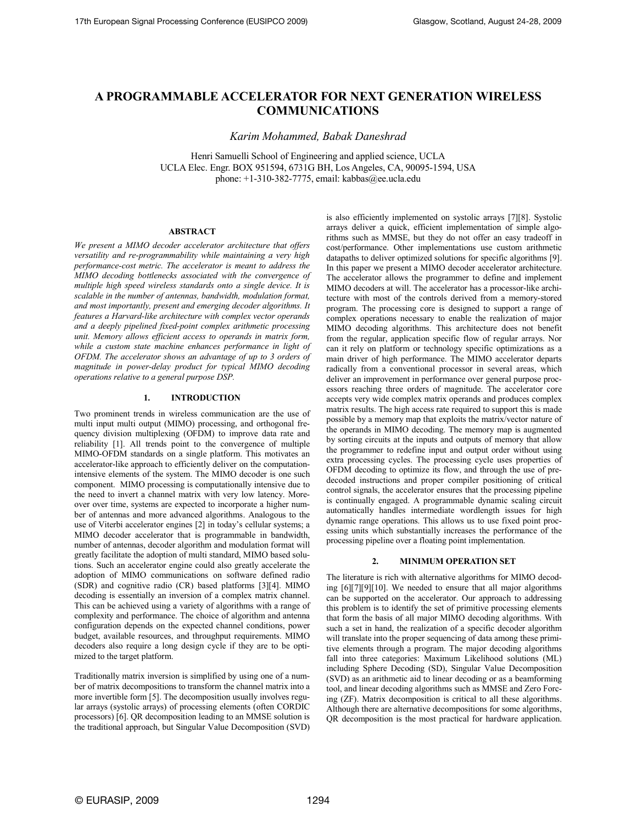# **A PROGRAMMABLE ACCELERATOR FOR NEXT GENERATION WIRELESS COMMUNICATIONS**

*Karim Mohammed, Babak Daneshrad* 

Henri Samuelli School of Engineering and applied science, UCLA UCLA Elec. Engr. BOX 951594, 6731G BH, Los Angeles, CA, 90095-1594, USA phone:  $+1-310-382-7775$ , email: kabbas@ee.ucla.edu

# **ABSTRACT**

*We present a MIMO decoder accelerator architecture that offers versatility and re-programmability while maintaining a very high performance-cost metric. The accelerator is meant to address the MIMO decoding bottlenecks associated with the convergence of multiple high speed wireless standards onto a single device. It is scalable in the number of antennas, bandwidth, modulation format, and most importantly, present and emerging decoder algorithms. It features a Harvard-like architecture with complex vector operands and a deeply pipelined fixed-point complex arithmetic processing unit. Memory allows efficient access to operands in matrix form, while a custom state machine enhances performance in light of OFDM. The accelerator shows an advantage of up to 3 orders of magnitude in power-delay product for typical MIMO decoding operations relative to a general purpose DSP.* 

## **1. INTRODUCTION**

Two prominent trends in wireless communication are the use of multi input multi output (MIMO) processing, and orthogonal frequency division multiplexing (OFDM) to improve data rate and reliability [1]. All trends point to the convergence of multiple MIMO-OFDM standards on a single platform. This motivates an accelerator-like approach to efficiently deliver on the computationintensive elements of the system. The MIMO decoder is one such component. MIMO processing is computationally intensive due to the need to invert a channel matrix with very low latency. Moreover over time, systems are expected to incorporate a higher number of antennas and more advanced algorithms. Analogous to the use of Viterbi accelerator engines [2] in today's cellular systems; a MIMO decoder accelerator that is programmable in bandwidth, number of antennas, decoder algorithm and modulation format will greatly facilitate the adoption of multi standard, MIMO based solutions. Such an accelerator engine could also greatly accelerate the adoption of MIMO communications on software defined radio (SDR) and cognitive radio (CR) based platforms [3][4]. MIMO decoding is essentially an inversion of a complex matrix channel. This can be achieved using a variety of algorithms with a range of complexity and performance. The choice of algorithm and antenna configuration depends on the expected channel conditions, power budget, available resources, and throughput requirements. MIMO decoders also require a long design cycle if they are to be optimized to the target platform.

Traditionally matrix inversion is simplified by using one of a number of matrix decompositions to transform the channel matrix into a more invertible form [5]. The decomposition usually involves regular arrays (systolic arrays) of processing elements (often CORDIC processors) [6]. QR decomposition leading to an MMSE solution is the traditional approach, but Singular Value Decomposition (SVD) is also efficiently implemented on systolic arrays [7][8]. Systolic arrays deliver a quick, efficient implementation of simple algorithms such as MMSE, but they do not offer an easy tradeoff in cost/performance. Other implementations use custom arithmetic datapaths to deliver optimized solutions for specific algorithms [9]. In this paper we present a MIMO decoder accelerator architecture. The accelerator allows the programmer to define and implement MIMO decoders at will. The accelerator has a processor-like architecture with most of the controls derived from a memory-stored program. The processing core is designed to support a range of complex operations necessary to enable the realization of major MIMO decoding algorithms. This architecture does not benefit from the regular, application specific flow of regular arrays. Nor can it rely on platform or technology specific optimizations as a main driver of high performance. The MIMO accelerator departs radically from a conventional processor in several areas, which deliver an improvement in performance over general purpose processors reaching three orders of magnitude. The accelerator core accepts very wide complex matrix operands and produces complex matrix results. The high access rate required to support this is made possible by a memory map that exploits the matrix/vector nature of the operands in MIMO decoding. The memory map is augmented by sorting circuits at the inputs and outputs of memory that allow the programmer to redefine input and output order without using extra processing cycles. The processing cycle uses properties of OFDM decoding to optimize its flow, and through the use of predecoded instructions and proper compiler positioning of critical control signals, the accelerator ensures that the processing pipeline is continually engaged. A programmable dynamic scaling circuit automatically handles intermediate wordlength issues for high dynamic range operations. This allows us to use fixed point processing units which substantially increases the performance of the processing pipeline over a floating point implementation.

### **2. MINIMUM OPERATION SET**

The literature is rich with alternative algorithms for MIMO decoding [6][7][9][10]. We needed to ensure that all major algorithms can be supported on the accelerator. Our approach to addressing this problem is to identify the set of primitive processing elements that form the basis of all major MIMO decoding algorithms. With such a set in hand, the realization of a specific decoder algorithm will translate into the proper sequencing of data among these primitive elements through a program. The major decoding algorithms fall into three categories: Maximum Likelihood solutions (ML) including Sphere Decoding (SD), Singular Value Decomposition (SVD) as an arithmetic aid to linear decoding or as a beamforming tool, and linear decoding algorithms such as MMSE and Zero Forcing (ZF). Matrix decomposition is critical to all these algorithms. Although there are alternative decompositions for some algorithms, QR decomposition is the most practical for hardware application.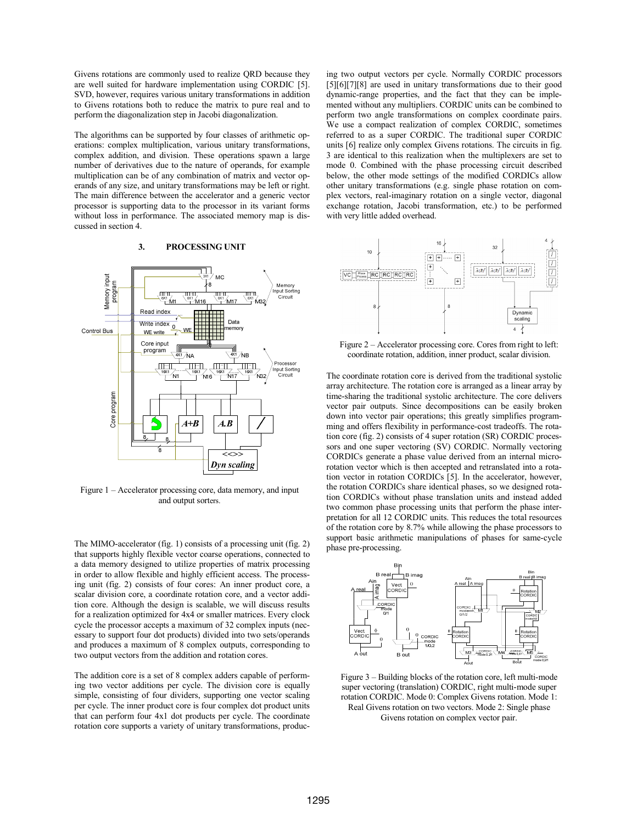Givens rotations are commonly used to realize QRD because they are well suited for hardware implementation using CORDIC [5]. SVD, however, requires various unitary transformations in addition to Givens rotations both to reduce the matrix to pure real and to perform the diagonalization step in Jacobi diagonalization.

The algorithms can be supported by four classes of arithmetic operations: complex multiplication, various unitary transformations, complex addition, and division. These operations spawn a large number of derivatives due to the nature of operands, for example multiplication can be of any combination of matrix and vector operands of any size, and unitary transformations may be left or right. The main difference between the accelerator and a generic vector processor is supporting data to the processor in its variant forms without loss in performance. The associated memory map is discussed in section 4.

# **3. PROCESSING UNIT**



Figure 1 – Accelerator processing core, data memory, and input and output sorters.

The MIMO-accelerator (fig. 1) consists of a processing unit (fig. 2) that supports highly flexible vector coarse operations, connected to a data memory designed to utilize properties of matrix processing in order to allow flexible and highly efficient access. The processing unit (fig. 2) consists of four cores: An inner product core, a scalar division core, a coordinate rotation core, and a vector addition core. Although the design is scalable, we will discuss results for a realization optimized for 4x4 or smaller matrices. Every clock cycle the processor accepts a maximum of 32 complex inputs (necessary to support four dot products) divided into two sets/operands and produces a maximum of 8 complex outputs, corresponding to two output vectors from the addition and rotation cores.

The addition core is a set of 8 complex adders capable of performing two vector additions per cycle. The division core is equally simple, consisting of four dividers, supporting one vector scaling per cycle. The inner product core is four complex dot product units that can perform four 4x1 dot products per cycle. The coordinate rotation core supports a variety of unitary transformations, produc-

ing two output vectors per cycle. Normally CORDIC processors [5] [6] [7] [8] are used in unitary transformations due to their good dynamic-range properties, and the fact that they can be implemented without any multipliers. CORDIC units can be combined to perform two angle transformations on complex coordinate pairs. We use a compact realization of complex CORDIC, sometimes referred to as a super CORDIC. The traditional super CORDIC units [6] realize only complex Givens rotations. The circuits in fig. 3 are identical to this realization when the multiplexers are set to mode 0. Combined with the phase processing circuit described below, the other mode settings of the modified CORDICs allow other unitary transformations (e.g. single phase rotation on complex vectors, real-imaginary rotation on a single vector, diagonal exchange rotation, Jacobi transformation, etc.) to be performed with very little added overhead.



Figure 2 – Accelerator processing core. Cores from right to left: coordinate rotation, addition, inner product, scalar division.

The coordinate rotation core is derived from the traditional systolic array architecture. The rotation core is arranged as a linear array by time-sharing the traditional systolic architecture. The core delivers vector pair outputs. Since decompositions can be easily broken down into vector pair operations; this greatly simplifies programming and offers flexibility in performance-cost tradeoffs. The rotation core (fig. 2) consists of 4 super rotation (SR) CORDIC processors and one super vectoring (SV) CORDIC. Normally vectoring CORDICs generate a phase value derived from an internal microrotation vector which is then accepted and retranslated into a rotation vector in rotation CORDICs [5]. In the accelerator, however, the rotation CORDICs share identical phases, so we designed rotation CORDICs without phase translation units and instead added two common phase processing units that perform the phase interpretation for all 12 CORDIC units. This reduces the total resources of the rotation core by 8.7% while allowing the phase processors to support basic arithmetic manipulations of phases for same-cycle phase pre-processing.



Figure 3 – Building blocks of the rotation core, left multi-mode super vectoring (translation) CORDIC, right multi-mode super rotation CORDIC. Mode 0: Complex Givens rotation. Mode 1: Real Givens rotation on two vectors. Mode 2: Single phase

Givens rotation on complex vector pair.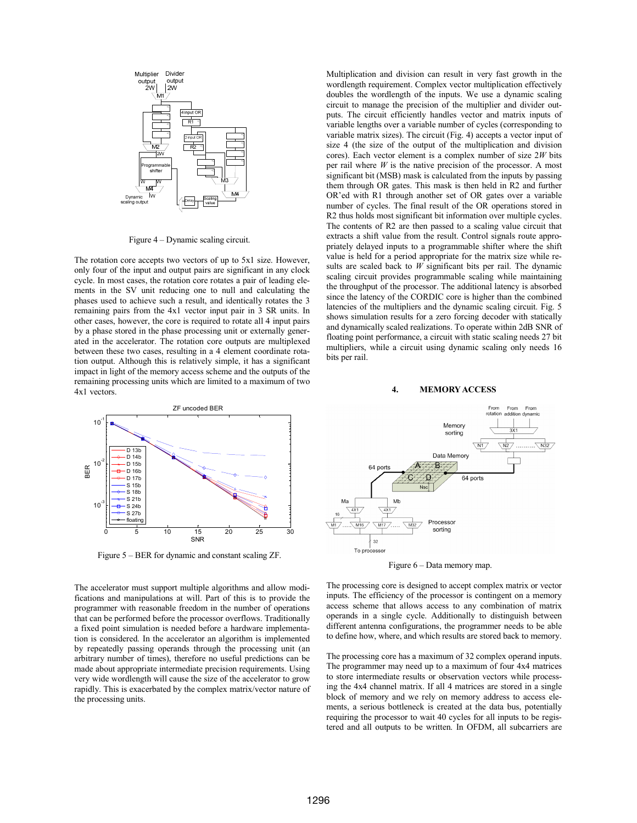

Figure 4 – Dynamic scaling circuit.

The rotation core accepts two vectors of up to 5x1 size. However, only four of the input and output pairs are significant in any clock cycle. In most cases, the rotation core rotates a pair of leading elements in the SV unit reducing one to null and calculating the phases used to achieve such a result, and identically rotates the 3 remaining pairs from the 4x1 vector input pair in 3 SR units. In other cases, however, the core is required to rotate all 4 input pairs by a phase stored in the phase processing unit or externally generated in the accelerator. The rotation core outputs are multiplexed between these two cases, resulting in a 4 element coordinate rotation output. Although this is relatively simple, it has a significant impact in light of the memory access scheme and the outputs of the remaining processing units which are limited to a maximum of two 4x1 vectors.



Figure 5 – BER for dynamic and constant scaling ZF.

The accelerator must support multiple algorithms and allow modifications and manipulations at will. Part of this is to provide the programmer with reasonable freedom in the number of operations that can be performed before the processor overflows. Traditionally a fixed point simulation is needed before a hardware implementation is considered. In the accelerator an algorithm is implemented by repeatedly passing operands through the processing unit (an arbitrary number of times), therefore no useful predictions can be made about appropriate intermediate precision requirements. Using very wide wordlength will cause the size of the accelerator to grow rapidly. This is exacerbated by the complex matrix/vector nature of the processing units.

Multiplication and division can result in very fast growth in the wordlength requirement. Complex vector multiplication effectively doubles the wordlength of the inputs. We use a dynamic scaling circuit to manage the precision of the multiplier and divider outputs. The circuit efficiently handles vector and matrix inputs of variable lengths over a variable number of cycles (corresponding to variable matrix sizes). The circuit (Fig. 4) accepts a vector input of size 4 (the size of the output of the multiplication and division cores). Each vector element is a complex number of size 2*W* bits per rail where *W* is the native precision of the processor. A most significant bit (MSB) mask is calculated from the inputs by passing them through OR gates. This mask is then held in R2 and further OR'ed with R1 through another set of OR gates over a variable number of cycles. The final result of the OR operations stored in R2 thus holds most significant bit information over multiple cycles. The contents of R2 are then passed to a scaling value circuit that extracts a shift value from the result. Control signals route appropriately delayed inputs to a programmable shifter where the shift value is held for a period appropriate for the matrix size while results are scaled back to *W* significant bits per rail. The dynamic scaling circuit provides programmable scaling while maintaining the throughput of the processor. The additional latency is absorbed since the latency of the CORDIC core is higher than the combined latencies of the multipliers and the dynamic scaling circuit. Fig. 5 shows simulation results for a zero forcing decoder with statically and dynamically scaled realizations. To operate within 2dB SNR of floating point performance, a circuit with static scaling needs 27 bit multipliers, while a circuit using dynamic scaling only needs 16 bits per rail.

#### **4. MEMORY ACCESS**



Figure 6 – Data memory map.

The processing core is designed to accept complex matrix or vector inputs. The efficiency of the processor is contingent on a memory access scheme that allows access to any combination of matrix operands in a single cycle. Additionally to distinguish between different antenna configurations, the programmer needs to be able to define how, where, and which results are stored back to memory.

The processing core has a maximum of 32 complex operand inputs. The programmer may need up to a maximum of four 4x4 matrices to store intermediate results or observation vectors while processing the 4x4 channel matrix. If all 4 matrices are stored in a single block of memory and we rely on memory address to access elements, a serious bottleneck is created at the data bus, potentially requiring the processor to wait 40 cycles for all inputs to be registered and all outputs to be written. In OFDM, all subcarriers are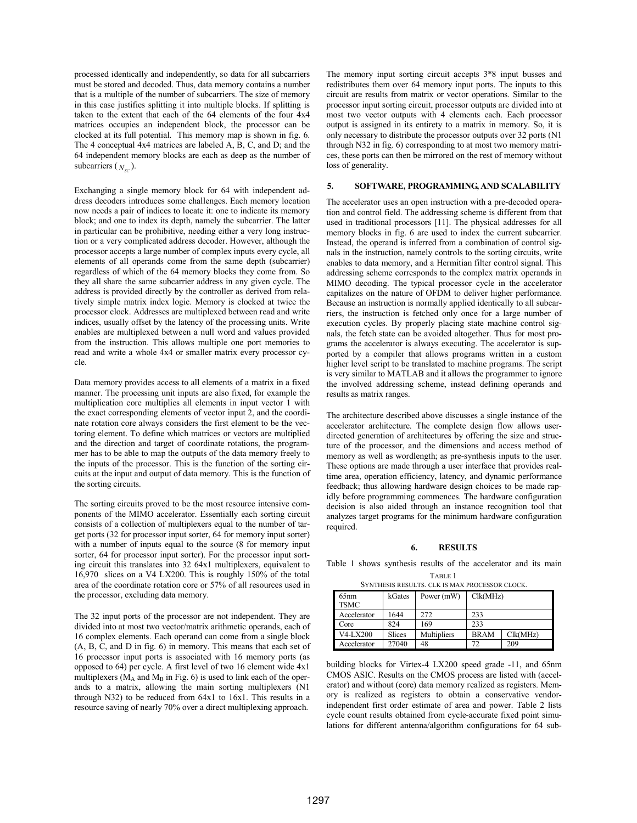processed identically and independently, so data for all subcarriers must be stored and decoded. Thus, data memory contains a number that is a multiple of the number of subcarriers. The size of memory in this case justifies splitting it into multiple blocks. If splitting is taken to the extent that each of the 64 elements of the four 4x4 matrices occupies an independent block, the processor can be clocked at its full potential. This memory map is shown in fig. 6. The 4 conceptual 4x4 matrices are labeled A, B, C, and D; and the 64 independent memory blocks are each as deep as the number of subcarriers  $(N_{\rm sc})$ .

Exchanging a single memory block for 64 with independent address decoders introduces some challenges. Each memory location now needs a pair of indices to locate it: one to indicate its memory block; and one to index its depth, namely the subcarrier. The latter in particular can be prohibitive, needing either a very long instruction or a very complicated address decoder. However, although the processor accepts a large number of complex inputs every cycle, all elements of all operands come from the same depth (subcarrier) regardless of which of the 64 memory blocks they come from. So they all share the same subcarrier address in any given cycle. The address is provided directly by the controller as derived from relatively simple matrix index logic. Memory is clocked at twice the processor clock. Addresses are multiplexed between read and write indices, usually offset by the latency of the processing units. Write enables are multiplexed between a null word and values provided from the instruction. This allows multiple one port memories to read and write a whole 4x4 or smaller matrix every processor cycle.

Data memory provides access to all elements of a matrix in a fixed manner. The processing unit inputs are also fixed, for example the multiplication core multiplies all elements in input vector 1 with the exact corresponding elements of vector input 2, and the coordinate rotation core always considers the first element to be the vectoring element. To define which matrices or vectors are multiplied and the direction and target of coordinate rotations, the programmer has to be able to map the outputs of the data memory freely to the inputs of the processor. This is the function of the sorting circuits at the input and output of data memory. This is the function of the sorting circuits.

The sorting circuits proved to be the most resource intensive components of the MIMO accelerator. Essentially each sorting circuit consists of a collection of multiplexers equal to the number of target ports (32 for processor input sorter, 64 for memory input sorter) with a number of inputs equal to the source (8 for memory input sorter, 64 for processor input sorter). For the processor input sorting circuit this translates into 32 64x1 multiplexers, equivalent to 16,970 slices on a V4 LX200. This is roughly 150% of the total area of the coordinate rotation core or 57% of all resources used in the processor, excluding data memory.

The 32 input ports of the processor are not independent. They are divided into at most two vector/matrix arithmetic operands, each of 16 complex elements. Each operand can come from a single block (A, B, C, and D in fig. 6) in memory. This means that each set of 16 processor input ports is associated with 16 memory ports (as opposed to 64) per cycle. A first level of two 16 element wide 4x1 multiplexers ( $M_A$  and  $M_B$  in Fig. 6) is used to link each of the operands to a matrix, allowing the main sorting multiplexers (N1 through N32) to be reduced from 64x1 to 16x1. This results in a resource saving of nearly 70% over a direct multiplexing approach.

The memory input sorting circuit accepts 3\*8 input busses and redistributes them over 64 memory input ports. The inputs to this circuit are results from matrix or vector operations. Similar to the processor input sorting circuit, processor outputs are divided into at most two vector outputs with 4 elements each. Each processor output is assigned in its entirety to a matrix in memory. So, it is only necessary to distribute the processor outputs over 32 ports (N1 through N32 in fig. 6) corresponding to at most two memory matrices, these ports can then be mirrored on the rest of memory without loss of generality.

# **5. SOFTWARE, PROGRAMMING, AND SCALABILITY**

The accelerator uses an open instruction with a pre-decoded operation and control field. The addressing scheme is different from that used in traditional processors [11]. The physical addresses for all memory blocks in fig. 6 are used to index the current subcarrier. Instead, the operand is inferred from a combination of control signals in the instruction, namely controls to the sorting circuits, write enables to data memory, and a Hermitian filter control signal. This addressing scheme corresponds to the complex matrix operands in MIMO decoding. The typical processor cycle in the accelerator capitalizes on the nature of OFDM to deliver higher performance. Because an instruction is normally applied identically to all subcarriers, the instruction is fetched only once for a large number of execution cycles. By properly placing state machine control signals, the fetch state can be avoided altogether. Thus for most programs the accelerator is always executing. The accelerator is supported by a compiler that allows programs written in a custom higher level script to be translated to machine programs. The script is very similar to MATLAB and it allows the programmer to ignore the involved addressing scheme, instead defining operands and results as matrix ranges.

The architecture described above discusses a single instance of the accelerator architecture. The complete design flow allows userdirected generation of architectures by offering the size and structure of the processor, and the dimensions and access method of memory as well as wordlength; as pre-synthesis inputs to the user. These options are made through a user interface that provides realtime area, operation efficiency, latency, and dynamic performance feedback; thus allowing hardware design choices to be made rapidly before programming commences. The hardware configuration decision is also aided through an instance recognition tool that analyzes target programs for the minimum hardware configuration required.

### **6. RESULTS**

Table 1 shows synthesis results of the accelerator and its main

TABLE 1 SYNTHESIS RESULTS. CLK IS MAX PROCESSOR CLOCK.

| 65nm<br><b>TSMC</b> | kGates        | Power (mW)  | Clk(MHz)    |          |  |
|---------------------|---------------|-------------|-------------|----------|--|
| Accelerator         | 1644          | 272         | 233         |          |  |
| Core                | 824           | 169         | 233         |          |  |
| <b>V4-LX200</b>     | <b>Slices</b> | Multipliers | <b>BRAM</b> | Clk(MHz) |  |
| Accelerator         | 27040         | 48          | 72          | 209      |  |

building blocks for Virtex-4 LX200 speed grade -11, and 65nm CMOS ASIC. Results on the CMOS process are listed with (accelerator) and without (core) data memory realized as registers. Memory is realized as registers to obtain a conservative vendorindependent first order estimate of area and power. Table 2 lists cycle count results obtained from cycle-accurate fixed point simulations for different antenna/algorithm configurations for 64 sub